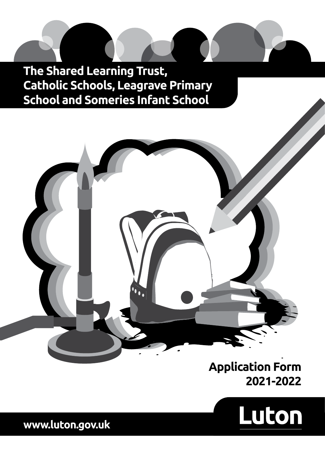**The Shared Learning Trust, Catholic Schools, Leagrave Primary School and Someries Infant School**



# **Application Form 2021-2022**



**www.luton.gov.uk**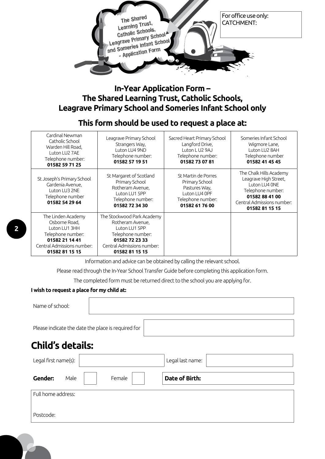

# **In-Year Application Form – The Shared Learning Trust, Catholic Schools, Leagrave Primary School and Someries Infant School only**

# **This form should be used to request a place at:**

| Cardinal Newman<br>Catholic School<br>Warden Hill Road.<br>Luton LU2 7AE<br>Telephone number:<br>01582 59 71 25                             | Leagrave Primary School<br>Strangers Way,<br>Luton LU4 9ND<br>Telephone number:<br>01582 57 19 51                                                      | Sacred Heart Primary School<br>Langford Drive,<br>Luton L U2 9AJ<br>Telephone number:<br>01582 73 07 81        | Someries Infant School<br>Wigmore Lane,<br>Luton LU2 8AH<br>Telephone number<br>01582 41 45 45                                                           |
|---------------------------------------------------------------------------------------------------------------------------------------------|--------------------------------------------------------------------------------------------------------------------------------------------------------|----------------------------------------------------------------------------------------------------------------|----------------------------------------------------------------------------------------------------------------------------------------------------------|
| St Joseph's Primary School<br>Gardenia Avenue,<br>Luton LU3 2NE<br>Telephone number<br>01582 54 29 64                                       | St Margaret of Scotland<br>Primary School<br>Rotheram Avenue,<br>Luton LU1 5PP<br>Telephone number:<br>01582 72 34 30                                  | St Martin de Porres<br>Primary School<br>Pastures Way,<br>Luton LU4 OPF<br>Telephone number:<br>01582 61 76 00 | The Chalk Hills Academy<br>Leagrave High Street,<br>Luton LU4 ONE<br>Telephone number:<br>01582 88 41 00<br>Central Admissions number:<br>01582 81 15 15 |
| The Linden Academy<br>Osborne Road.<br>Luton LU1 3HH<br>Telephone number:<br>01582 21 14 41<br>Central Admissions number:<br>01582 81 15 15 | The Stockwood Park Academy<br>Rotheram Avenue,<br>Luton LU1 5PP<br>Telephone number:<br>01582 72 23 33<br>Central Admissions number:<br>01582 81 15 15 |                                                                                                                |                                                                                                                                                          |

Information and advice can be obtained by calling the relevant school.

Please read through the In-Year School Transfer Guide before completing this application form.

The completed form must be returned direct to the school you are applying for.

## **I wish to request a place for my child at:**

Name of school:

Please indicate the date the place is required for

# **Child's details:**

| Legal first name(s): |      |        | Legal last name: |
|----------------------|------|--------|------------------|
| Gender:              | Male | Female | Date of Birth:   |
| Full home address:   |      |        |                  |
| Postcode:            |      |        |                  |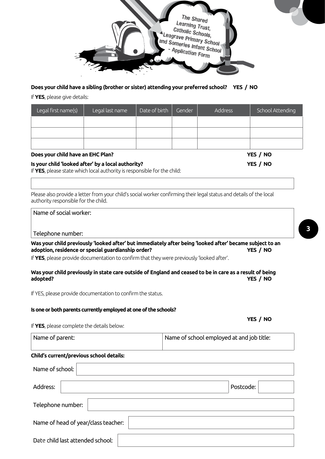

### **Does your child have a sibling (brother or sister) attending your preferred school? YES / NO**

If **YES**, please give details:

| Legal first name(s) | Legal last name | Date of birth | Gender | <b>Address</b> | School Attending |
|---------------------|-----------------|---------------|--------|----------------|------------------|
|                     |                 |               |        |                |                  |
|                     |                 |               |        |                |                  |
|                     |                 |               |        |                |                  |

#### **Does your child have an EHC Plan? YES / NO**

Is your child 'looked after' by a local authority?<br> **IS your child 'looked after' by a local authority?** 

If **YES**, please state which local authority is responsible for the child:

Please also provide a letter from your child's social worker confirming their legal status and details of the local authority responsible for the child.

|  | Name of social worker: |
|--|------------------------|
|  |                        |

#### Telephone number:

**Was your child previously 'looked after' but immediately after being 'looked after' became subject to an adoption, residence or special guardianship order? YES / NO**

If **YES**, please provide documentation to confirm that they were previously 'looked after'.

### **Was your child previously in state care outside of England and ceased to be in care as a result of being adopted? YES / NO**

 **YES / NO**

If YES, please provide documentation to confirm the status.

### **Is one or both parents currently employed at one of the schools?**

If **YES**, please complete the details below:

| Name of parent: | Name of school employed at and job title: |
|-----------------|-------------------------------------------|
|                 |                                           |

#### **Child's current/previous school details:**

| Name of school:                     |           |  |  |  |
|-------------------------------------|-----------|--|--|--|
| Address:                            | Postcode: |  |  |  |
| Telephone number:                   |           |  |  |  |
| Name of head of year/class teacher: |           |  |  |  |
| Date child last attended school:    |           |  |  |  |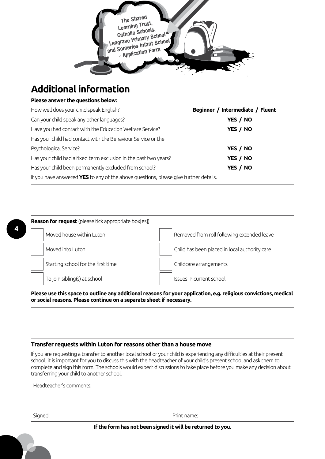

# **Additional information**

# **Please answer the questions below:**

**4**

| How well does your child speak English?                                              | Beginner / Intermediate / Fluent |
|--------------------------------------------------------------------------------------|----------------------------------|
| Can your child speak any other languages?                                            | YES / NO                         |
| Have you had contact with the Education Welfare Service?                             | YES / NO                         |
| Has your child had contact with the Behaviour Service or the                         |                                  |
| Psychological Service?                                                               | YES / NO                         |
| Has your child had a fixed term exclusion in the past two years?                     | YES / NO                         |
| Has your child been permanently excluded from school?                                | YES / NO                         |
| If you have answered YES to any of the above questions, please give further details. |                                  |

**Reason for request** (please tick appropriate box[es]) Moved house within Luton Removed from roll following extended leave Moved into Luton Child has been placed in local authority care Starting school for the first time Childcare arrangements To join sibling(s) at school issues in current school

**Please use this space to outline any additional reasons for your application, e.g. religious convictions, medical or social reasons. Please continue on a separate sheet if necessary.**

## **Transfer requests within Luton for reasons other than a house move**

If you are requesting a transfer to another local school or your child is experiencing any difficulties at their present school, it is important for you to discuss this with the headteacher of your child's present school and ask them to complete and sign this form. The schools would expect discussions to take place before you make any decision about transferring your child to another school.

| Headteacher's comments: |             |  |
|-------------------------|-------------|--|
|                         |             |  |
|                         |             |  |
| Signed:                 | Print name: |  |

### **If the form has not been signed it will be returned to you.**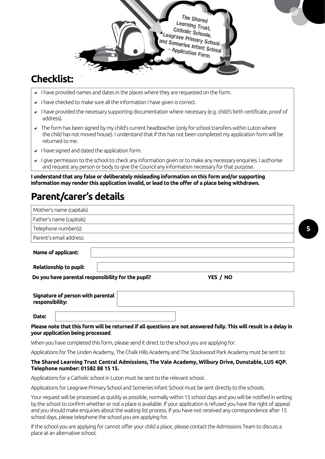

# **Checklist:**

- I have provided names and dates in the places where they are requested on the form.
- $\vee$  I have checked to make sure all the information I have given is correct.
- I have provided the necessary supporting documentation where necessary (e.g. child's birth certificate, proof of address).
- The form has been signed by my child's current headteacher (only for school transfers within Luton where the child has not moved house). I understand that if this has not been completed my application form will be returned to me.
- $\cdot$  I have signed and dated the application form.
- I give permission to the school to check any information given or to make any necessary enquiries. I authorise and request any person or body to give the Council any information necessary for that purpose.

**I understand that any false or deliberately misleading information on this form and/or supporting information may render this application invalid, or lead to the offer of a place being withdrawn.**

# **Parent/carer's details**:

| Mother's name (capitals)                             |                                                                                                                     |  |
|------------------------------------------------------|---------------------------------------------------------------------------------------------------------------------|--|
| Father's name (capitals)                             |                                                                                                                     |  |
| Telephone number(s):                                 |                                                                                                                     |  |
| Parent's email address:                              |                                                                                                                     |  |
| Name of applicant:                                   |                                                                                                                     |  |
| <b>Relationship to pupil:</b>                        |                                                                                                                     |  |
| Do you have parental responsibility for the pupil?   | YES / NO                                                                                                            |  |
| Signature of person with parental<br>responsibility: |                                                                                                                     |  |
| Date:                                                |                                                                                                                     |  |
| your application being processed.                    | Please note that this form will be returned if all questions are not answered fully. This will result in a delay in |  |

When you have completed this form, please send it direct to the school you are applying for.

Applications for The Linden Academy, The Chalk Hills Academy and The Stockwood Park Academy must be sent to:

### **The Shared Learning Trust Central Admissions, The Vale Academy, Wilbury Drive, Dunstable, LU5 4QP. Telephone number: 01582 88 15 15.**

Applications for a Catholic school in Luton must be sent to the relevant school.

Applications for Leagrave Primary School and Someries Infant School must be sent directly to the schools.

Your request will be processed as quickly as possible, normally within 15 school days and you will be notified in writing by the school to confirm whether or not a place is available. If your application is refused you have the right of appeal and you should make enquiries about the waiting list process. If you have not received any correspondence after 15 school days, please telephone the school you are applying for.

If the school you are applying for cannot offer your child a place, please contact the Admissions Team to discuss a place at an alternative school.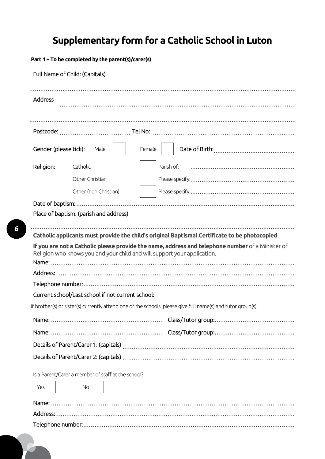# **Supplementary form for a Catholic School in Luton**

**Part 1 – To be completed by the parent(s)/carer(s)**

|                       | Full Name of Child: (Capitals)                     |        |                                                                                                                                                                              |
|-----------------------|----------------------------------------------------|--------|------------------------------------------------------------------------------------------------------------------------------------------------------------------------------|
| Address               |                                                    |        |                                                                                                                                                                              |
|                       |                                                    |        |                                                                                                                                                                              |
|                       |                                                    |        |                                                                                                                                                                              |
| Gender (please tick): | Male                                               | Female |                                                                                                                                                                              |
| Religion:             | Catholic                                           |        | Parish of:                                                                                                                                                                   |
|                       | Other Christian                                    |        |                                                                                                                                                                              |
|                       | Other (non Christian)                              |        |                                                                                                                                                                              |
|                       |                                                    |        |                                                                                                                                                                              |
|                       | Place of baptism: (parish and address)             |        |                                                                                                                                                                              |
|                       |                                                    |        | Catholic applicants must provide the child's original Baptismal Certificate to be photocopied                                                                                |
|                       |                                                    |        | If you are not a Catholic please provide the name, address and telephone number of a Minister of<br>Religion who knows you and your child and will support your application. |
|                       |                                                    |        |                                                                                                                                                                              |
|                       |                                                    |        |                                                                                                                                                                              |
|                       | Current school/Last school if not current school:  |        |                                                                                                                                                                              |
|                       |                                                    |        | If brother(s) or sister(s) currently attend one of the schools, please give full name(s) and tutor group(s)                                                                  |
|                       |                                                    |        |                                                                                                                                                                              |
|                       |                                                    |        |                                                                                                                                                                              |
|                       |                                                    |        |                                                                                                                                                                              |
|                       |                                                    |        |                                                                                                                                                                              |
|                       | Is a Parent/Carer a member of staff at the school? |        |                                                                                                                                                                              |
| Yes                   | <b>No</b>                                          |        |                                                                                                                                                                              |
|                       |                                                    |        |                                                                                                                                                                              |
|                       |                                                    |        |                                                                                                                                                                              |
|                       |                                                    |        |                                                                                                                                                                              |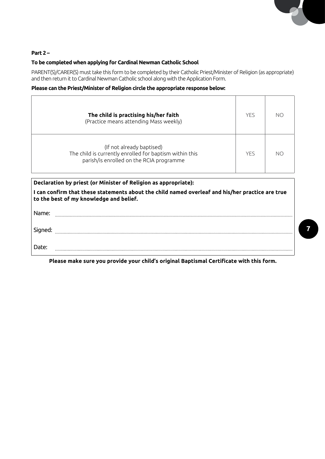### **Part 2 –**

### **To be completed when applying for Cardinal Newman Catholic School**

PARENT(S)/CARER(S) must take this form to be completed by their Catholic Priest/Minister of Religion (as appropriate) and then return it to Cardinal Newman Catholic school along with the Application Form.

# **Please can the Priest/Minister of Religion circle the appropriate response below:**

| The child is practising his/her faith<br>(Practice means attending Mass weekly)                                                  | <b>YFS</b> | NO |
|----------------------------------------------------------------------------------------------------------------------------------|------------|----|
| (If not already baptised)<br>The child is currently enrolled for baptism within this<br>parish/is enrolled on the RCIA programme | <b>YFS</b> | NС |

**Declaration by priest (or Minister of Religion as appropriate):**

**I can confirm that these statements about the child named overleaf and his/her practice are true to the best of my knowledge and belief.**

| Name:   |  |
|---------|--|
|         |  |
| Signed: |  |
|         |  |
| Date:   |  |
|         |  |

**Please make sure you provide your child's original Baptismal Certificate with this form.**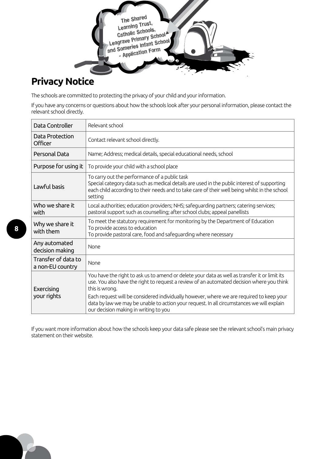

# **Privacy Notice**

The schools are committed to protecting the privacy of your child and your information.

If you have any concerns or questions about how the schools look after your personal information, please contact the relevant school directly.

| Data Controller                         | Relevant school                                                                                                                                                                                                                                                                                                                                                                                                                                |
|-----------------------------------------|------------------------------------------------------------------------------------------------------------------------------------------------------------------------------------------------------------------------------------------------------------------------------------------------------------------------------------------------------------------------------------------------------------------------------------------------|
| Data Protection<br>Officer              | Contact relevant school directly.                                                                                                                                                                                                                                                                                                                                                                                                              |
| Personal Data                           | Name; Address; medical details, special educational needs, school                                                                                                                                                                                                                                                                                                                                                                              |
| Purpose for using it                    | To provide your child with a school place                                                                                                                                                                                                                                                                                                                                                                                                      |
| Lawful basis                            | To carry out the performance of a public task<br>Special category data such as medical details are used in the public interest of supporting<br>each child according to their needs and to take care of their well being whilst in the school<br>setting                                                                                                                                                                                       |
| Who we share it<br>with                 | Local authorities; education providers; NHS; safeguarding partners; catering services;<br>pastoral support such as counselling; after school clubs; appeal panellists                                                                                                                                                                                                                                                                          |
| Why we share it<br>with them            | To meet the statutory requirement for monitoring by the Department of Education<br>To provide access to education<br>To provide pastoral care, food and safeguarding where necessary                                                                                                                                                                                                                                                           |
| Any automated<br>decision making        | None                                                                                                                                                                                                                                                                                                                                                                                                                                           |
| Transfer of data to<br>a non-EU country | None                                                                                                                                                                                                                                                                                                                                                                                                                                           |
| Exercising<br>your rights               | You have the right to ask us to amend or delete your data as well as transfer it or limit its<br>use. You also have the right to request a review of an automated decision where you think<br>this is wrong.<br>Each request will be considered individually however, where we are required to keep your<br>data by law we may be unable to action your request. In all circumstances we will explain<br>our decision making in writing to you |

If you want more information about how the schools keep your data safe please see the relevant school's main privacy statement on their website.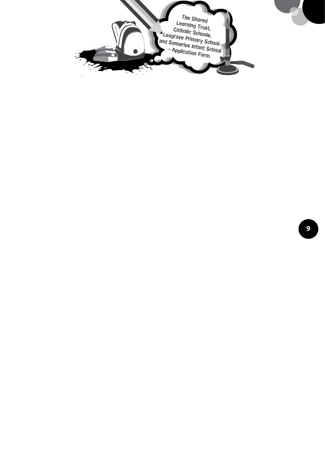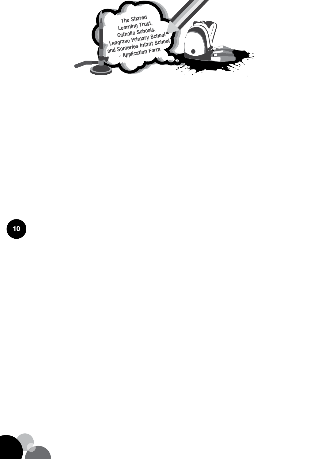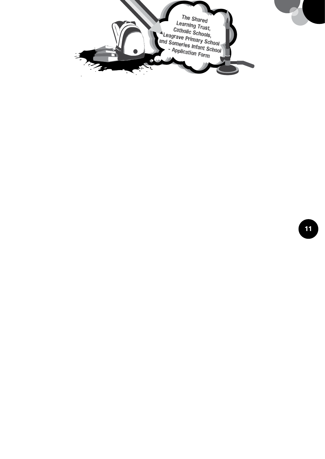